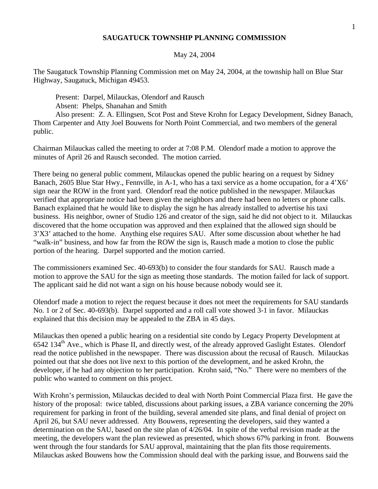## **SAUGATUCK TOWNSHIP PLANNING COMMISSION**

## May 24, 2004

The Saugatuck Township Planning Commission met on May 24, 2004, at the township hall on Blue Star Highway, Saugatuck, Michigan 49453.

Present: Darpel, Milauckas, Olendorf and Rausch Absent: Phelps, Shanahan and Smith

Also present: Z. A. Ellingsen, Scot Post and Steve Krohn for Legacy Development, Sidney Banach, Thom Carpenter and Atty Joel Bouwens for North Point Commercial, and two members of the general public.

Chairman Milauckas called the meeting to order at 7:08 P.M. Olendorf made a motion to approve the minutes of April 26 and Rausch seconded. The motion carried.

There being no general public comment, Milauckas opened the public hearing on a request by Sidney Banach, 2605 Blue Star Hwy., Fennville, in A-1, who has a taxi service as a home occupation, for a 4'X6' sign near the ROW in the front yard. Olendorf read the notice published in the newspaper. Milauckas verified that appropriate notice had been given the neighbors and there had been no letters or phone calls. Banach explained that he would like to display the sign he has already installed to advertise his taxi business. His neighbor, owner of Studio 126 and creator of the sign, said he did not object to it. Milauckas discovered that the home occupation was approved and then explained that the allowed sign should be 3'X3' attached to the home. Anything else requires SAU. After some discussion about whether he had "walk-in" business, and how far from the ROW the sign is, Rausch made a motion to close the public portion of the hearing. Darpel supported and the motion carried.

The commissioners examined Sec. 40-693(b) to consider the four standards for SAU. Rausch made a motion to approve the SAU for the sign as meeting those standards. The motion failed for lack of support. The applicant said he did not want a sign on his house because nobody would see it.

Olendorf made a motion to reject the request because it does not meet the requirements for SAU standards No. 1 or 2 of Sec. 40-693(b). Darpel supported and a roll call vote showed 3-1 in favor. Milauckas explained that this decision may be appealed to the ZBA in 45 days.

Milauckas then opened a public hearing on a residential site condo by Legacy Property Development at 6542 134th Ave., which is Phase II, and directly west, of the already approved Gaslight Estates. Olendorf read the notice published in the newspaper. There was discussion about the recusal of Rausch. Milauckas pointed out that she does not live next to this portion of the development, and he asked Krohn, the developer, if he had any objection to her participation. Krohn said, "No." There were no members of the public who wanted to comment on this project.

With Krohn's permission, Milauckas decided to deal with North Point Commercial Plaza first. He gave the history of the proposal: twice tabled, discussions about parking issues, a ZBA variance concerning the 20% requirement for parking in front of the building, several amended site plans, and final denial of project on April 26, but SAU never addressed. Atty Bouwens, representing the developers, said they wanted a determination on the SAU, based on the site plan of 4/26/04. In spite of the verbal revision made at the meeting, the developers want the plan reviewed as presented, which shows 67% parking in front. Bouwens went through the four standards for SAU approval, maintaining that the plan fits those requirements. Milauckas asked Bouwens how the Commission should deal with the parking issue, and Bouwens said the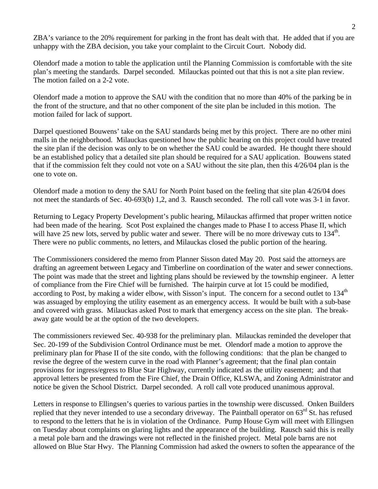ZBA's variance to the 20% requirement for parking in the front has dealt with that. He added that if you are unhappy with the ZBA decision, you take your complaint to the Circuit Court. Nobody did.

Olendorf made a motion to table the application until the Planning Commission is comfortable with the site plan's meeting the standards. Darpel seconded. Milauckas pointed out that this is not a site plan review. The motion failed on a 2-2 vote.

Olendorf made a motion to approve the SAU with the condition that no more than 40% of the parking be in the front of the structure, and that no other component of the site plan be included in this motion. The motion failed for lack of support.

Darpel questioned Bouwens' take on the SAU standards being met by this project. There are no other mini malls in the neighborhood. Milauckas questioned how the public hearing on this project could have treated the site plan if the decision was only to be on whether the SAU could be awarded. He thought there should be an established policy that a detailed site plan should be required for a SAU application. Bouwens stated that if the commission felt they could not vote on a SAU without the site plan, then this 4/26/04 plan is the one to vote on.

Olendorf made a motion to deny the SAU for North Point based on the feeling that site plan 4/26/04 does not meet the standards of Sec. 40-693(b) 1,2, and 3. Rausch seconded. The roll call vote was 3-1 in favor.

Returning to Legacy Property Development's public hearing, Milauckas affirmed that proper written notice had been made of the hearing. Scot Post explained the changes made to Phase I to access Phase II, which will have 25 new lots, served by public water and sewer. There will be no more driveway cuts to 134<sup>th</sup>. There were no public comments, no letters, and Milauckas closed the public portion of the hearing.

The Commissioners considered the memo from Planner Sisson dated May 20. Post said the attorneys are drafting an agreement between Legacy and Timberline on coordination of the water and sewer connections. The point was made that the street and lighting plans should be reviewed by the township engineer. A letter of compliance from the Fire Chief will be furnished. The hairpin curve at lot 15 could be modified, according to Post, by making a wider elbow, with Sisson's input. The concern for a second outlet to 134<sup>th</sup> was assuaged by employing the utility easement as an emergency access. It would be built with a sub-base and covered with grass. Milauckas asked Post to mark that emergency access on the site plan. The breakaway gate would be at the option of the two developers.

The commissioners reviewed Sec. 40-938 for the preliminary plan. Milauckas reminded the developer that Sec. 20-199 of the Subdivision Control Ordinance must be met. Olendorf made a motion to approve the preliminary plan for Phase II of the site condo, with the following conditions: that the plan be changed to revise the degree of the western curve in the road with Planner's agreement; that the final plan contain provisions for ingress/egress to Blue Star Highway, currently indicated as the utility easement; and that approval letters be presented from the Fire Chief, the Drain Office, KLSWA, and Zoning Administrator and notice be given the School District. Darpel seconded. A roll call vote produced unanimous approval.

Letters in response to Ellingsen's queries to various parties in the township were discussed. Onken Builders replied that they never intended to use a secondary driveway. The Paintball operator on  $63<sup>rd</sup>$  St. has refused to respond to the letters that he is in violation of the Ordinance. Pump House Gym will meet with Ellingsen on Tuesday about complaints on glaring lights and the appearance of the building. Rausch said this is really a metal pole barn and the drawings were not reflected in the finished project. Metal pole barns are not allowed on Blue Star Hwy. The Planning Commission had asked the owners to soften the appearance of the